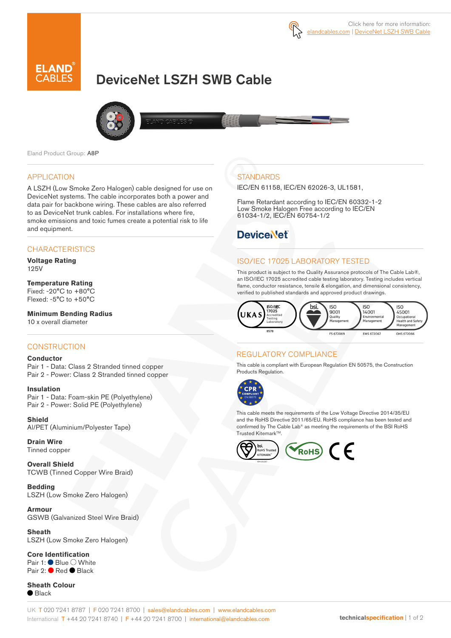

# DeviceNet LSZH SWB Cable



Eland Product Group: A8P

#### APPLICATION

A LSZH (Low Smoke Zero Halogen) cable designed for use on DeviceNet systems. The cable incorporates both a power and data pair for backbone wiring. These cables are also referred to as DeviceNet trunk cables. For installations where fire, smoke emissions and toxic fumes create a potential risk to life and equipment.

## **CHARACTERISTICS**

**Voltage Rating**  125V

# **Temperature Rating**

Fixed: -20°C to +80°C Flexed: -5°C to +50°C

**Minimum Bending Radius**  10 x overall diameter

## **CONSTRUCTION**

#### **Conductor**

Pair 1 - Data: Class 2 Stranded tinned copper Pair 2 - Power: Class 2 Stranded tinned copper

## **Insulation**

Pair 1 - Data: Foam-skin PE (Polyethylene) Pair 2 - Power: Solid PE (Polyethylene)

**Shield** Al/PET (Aluminium/Polyester Tape)

#### **Drain Wire** Tinned copper

**Overall Shield** TCWB (Tinned Copper Wire Braid)

**Bedding** LSZH (Low Smoke Zero Halogen)

**Armour** GSWB (Galvanized Steel Wire Braid)

**Sheath** LSZH (Low Smoke Zero Halogen)

**Core Identification** Pair 1: ● Blue ○ White Pair 2: ● Red ● Black

**Sheath Colour** ● Black

# **STANDARDS**

IEC/EN 61158, IEC/EN 62026-3, UL1581,

Flame Retardant according to IEC/EN 60332-1-2 Low Smoke Halogen Free according to IEC/EN 61034-1/2, IEC/EN 60754-1/2

# **DeviceNet**

# ISO/IEC 17025 LABORATORY TESTED

This product is subject to the Quality Assurance protocols of The Cable Lab®, an ISO/IEC 17025 accredited cable testing laboratory. Testing includes vertical flame, conductor resistance, tensile & elongation, and dimensional consistency, verified to published standards and approved product drawings.



#### REGULATORY COMPLIANCE

This cable is compliant with European Regulation EN 50575, the Construction Products Regulation.



This cable meets the requirements of the Low Voltage Directive 2014/35/EU and the RoHS Directive 2011/65/EU. RoHS compliance has been tested and confirmed by The Cable Lab® as meeting the requirements of the BSI RoHS Trusted Kitemark™.